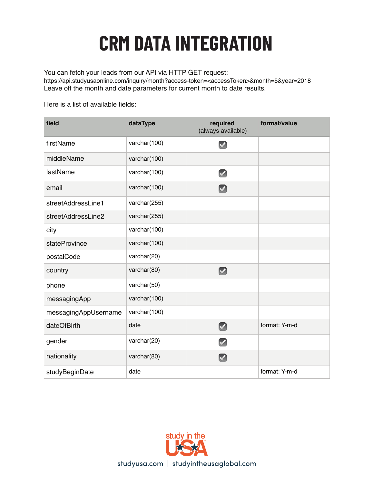## **CRM DATA INTEGRATION Integration Guide**

You can fetch your leads from our API via HTTP GET request:

https://api.studyusaonline.com/inquiry/month?access-token=<accessToken>&month=5&year=2018 Leave off the month and date parameters for current month to date results.

Here is a list of available fields:

| field                | dataType     | required<br>(always available) | format/value  |
|----------------------|--------------|--------------------------------|---------------|
| firstName            | varchar(100) | $\blacktriangledown$           |               |
| middleName           | varchar(100) |                                |               |
| lastName             | varchar(100) | $\blacktriangledown$           |               |
| email                | varchar(100) | $\blacktriangledown$           |               |
| streetAddressLine1   | varchar(255) |                                |               |
| streetAddressLine2   | varchar(255) |                                |               |
| city                 | varchar(100) |                                |               |
| stateProvince        | varchar(100) |                                |               |
| postalCode           | varchar(20)  |                                |               |
| country              | varchar(80)  | $\blacktriangledown$           |               |
| phone                | varchar(50)  |                                |               |
| messagingApp         | varchar(100) |                                |               |
| messagingAppUsername | varchar(100) |                                |               |
| dateOfBirth          | date         | $\boxed{\smile}$               | format: Y-m-d |
| gender               | varchar(20)  | $\blacktriangledown$           |               |
| nationality          | varchar(80)  | $\blacktriangledown$           |               |
| studyBeginDate       | date         |                                | format: Y-m-d |